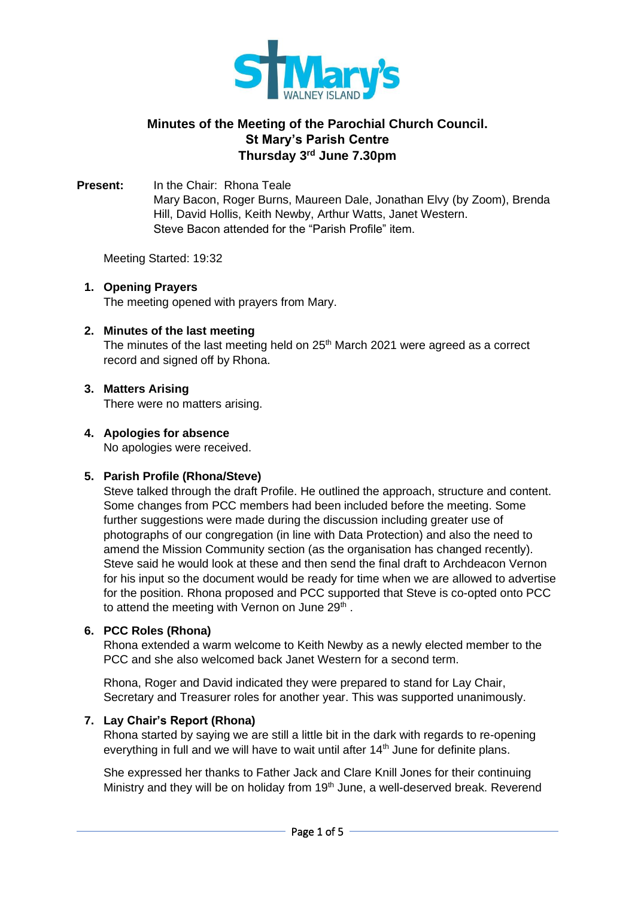

# **Minutes of the Meeting of the Parochial Church Council. St Mary's Parish Centre Thursday 3 rd June 7.30pm**

**Present:** In the Chair: Rhona Teale Mary Bacon, Roger Burns, Maureen Dale, Jonathan Elvy (by Zoom), Brenda Hill, David Hollis, Keith Newby, Arthur Watts, Janet Western. Steve Bacon attended for the "Parish Profile" item.

Meeting Started: 19:32

# **1. Opening Prayers**

The meeting opened with prayers from Mary.

### **2. Minutes of the last meeting**

The minutes of the last meeting held on 25<sup>th</sup> March 2021 were agreed as a correct record and signed off by Rhona.

# **3. Matters Arising**

There were no matters arising.

### **4. Apologies for absence**

No apologies were received.

#### **5. Parish Profile (Rhona/Steve)**

Steve talked through the draft Profile. He outlined the approach, structure and content. Some changes from PCC members had been included before the meeting. Some further suggestions were made during the discussion including greater use of photographs of our congregation (in line with Data Protection) and also the need to amend the Mission Community section (as the organisation has changed recently). Steve said he would look at these and then send the final draft to Archdeacon Vernon for his input so the document would be ready for time when we are allowed to advertise for the position. Rhona proposed and PCC supported that Steve is co-opted onto PCC to attend the meeting with Vernon on June 29<sup>th</sup>.

#### **6. PCC Roles (Rhona)**

Rhona extended a warm welcome to Keith Newby as a newly elected member to the PCC and she also welcomed back Janet Western for a second term.

Rhona, Roger and David indicated they were prepared to stand for Lay Chair, Secretary and Treasurer roles for another year. This was supported unanimously.

### **7. Lay Chair's Report (Rhona)**

Rhona started by saying we are still a little bit in the dark with regards to re-opening everything in full and we will have to wait until after 14<sup>th</sup> June for definite plans.

She expressed her thanks to Father Jack and Clare Knill Jones for their continuing Ministry and they will be on holiday from  $19<sup>th</sup>$  June, a well-deserved break. Reverend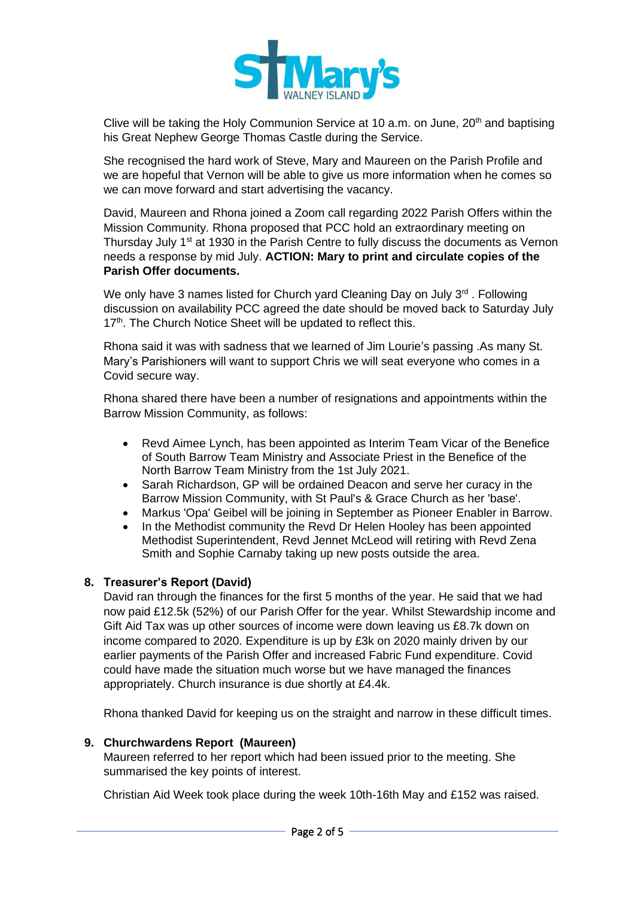

Clive will be taking the Holy Communion Service at 10 a.m. on June,  $20<sup>th</sup>$  and baptising his Great Nephew George Thomas Castle during the Service.

She recognised the hard work of Steve, Mary and Maureen on the Parish Profile and we are hopeful that Vernon will be able to give us more information when he comes so we can move forward and start advertising the vacancy.

David, Maureen and Rhona joined a Zoom call regarding 2022 Parish Offers within the Mission Community. Rhona proposed that PCC hold an extraordinary meeting on Thursday July 1<sup>st</sup> at 1930 in the Parish Centre to fully discuss the documents as Vernon needs a response by mid July. **ACTION: Mary to print and circulate copies of the Parish Offer documents.**

We only have 3 names listed for Church yard Cleaning Day on July 3<sup>rd</sup>. Following discussion on availability PCC agreed the date should be moved back to Saturday July 17<sup>th</sup>. The Church Notice Sheet will be updated to reflect this.

Rhona said it was with sadness that we learned of Jim Lourie's passing .As many St. Mary's Parishioners will want to support Chris we will seat everyone who comes in a Covid secure way.

Rhona shared there have been a number of resignations and appointments within the Barrow Mission Community, as follows:

- Revd Aimee Lynch, has been appointed as Interim Team Vicar of the Benefice of South Barrow Team Ministry and Associate Priest in the Benefice of the North Barrow Team Ministry from the 1st July 2021.
- Sarah Richardson, GP will be ordained Deacon and serve her curacy in the Barrow Mission Community, with St Paul's & Grace Church as her 'base'.
- Markus 'Opa' Geibel will be joining in September as Pioneer Enabler in Barrow.
- In the Methodist community the Revd Dr Helen Hooley has been appointed Methodist Superintendent, Revd Jennet McLeod will retiring with Revd Zena Smith and Sophie Carnaby taking up new posts outside the area.

# **8. Treasurer's Report (David)**

David ran through the finances for the first 5 months of the year. He said that we had now paid £12.5k (52%) of our Parish Offer for the year. Whilst Stewardship income and Gift Aid Tax was up other sources of income were down leaving us £8.7k down on income compared to 2020. Expenditure is up by £3k on 2020 mainly driven by our earlier payments of the Parish Offer and increased Fabric Fund expenditure. Covid could have made the situation much worse but we have managed the finances appropriately. Church insurance is due shortly at £4.4k.

Rhona thanked David for keeping us on the straight and narrow in these difficult times.

#### **9. Churchwardens Report (Maureen)**

Maureen referred to her report which had been issued prior to the meeting. She summarised the key points of interest.

Christian Aid Week took place during the week 10th-16th May and £152 was raised.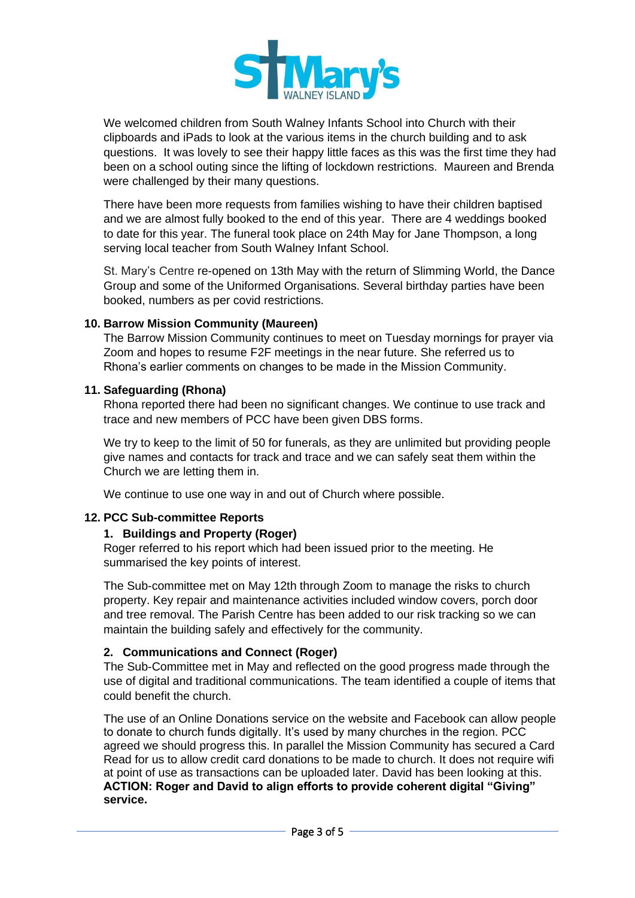

We welcomed children from South Walney Infants School into Church with their clipboards and iPads to look at the various items in the church building and to ask questions. It was lovely to see their happy little faces as this was the first time they had been on a school outing since the lifting of lockdown restrictions. Maureen and Brenda were challenged by their many questions.

There have been more requests from families wishing to have their children baptised and we are almost fully booked to the end of this year. There are 4 weddings booked to date for this year. The funeral took place on 24th May for Jane Thompson, a long serving local teacher from South Walney Infant School.

St. Mary's Centre re-opened on 13th May with the return of Slimming World, the Dance Group and some of the Uniformed Organisations. Several birthday parties have been booked, numbers as per covid restrictions.

# **10. Barrow Mission Community (Maureen)**

The Barrow Mission Community continues to meet on Tuesday mornings for prayer via Zoom and hopes to resume F2F meetings in the near future. She referred us to Rhona's earlier comments on changes to be made in the Mission Community.

### **11. Safeguarding (Rhona)**

Rhona reported there had been no significant changes. We continue to use track and trace and new members of PCC have been given DBS forms.

We try to keep to the limit of 50 for funerals, as they are unlimited but providing people give names and contacts for track and trace and we can safely seat them within the Church we are letting them in.

We continue to use one way in and out of Church where possible.

# **12. PCC Sub-committee Reports**

# **1. Buildings and Property (Roger)**

Roger referred to his report which had been issued prior to the meeting. He summarised the key points of interest.

The Sub-committee met on May 12th through Zoom to manage the risks to church property. Key repair and maintenance activities included window covers, porch door and tree removal. The Parish Centre has been added to our risk tracking so we can maintain the building safely and effectively for the community.

# **2. Communications and Connect (Roger)**

The Sub-Committee met in May and reflected on the good progress made through the use of digital and traditional communications. The team identified a couple of items that could benefit the church.

The use of an Online Donations service on the website and Facebook can allow people to donate to church funds digitally. It's used by many churches in the region. PCC agreed we should progress this. In parallel the Mission Community has secured a Card Read for us to allow credit card donations to be made to church. It does not require wifi at point of use as transactions can be uploaded later. David has been looking at this. **ACTION: Roger and David to align efforts to provide coherent digital "Giving" service.**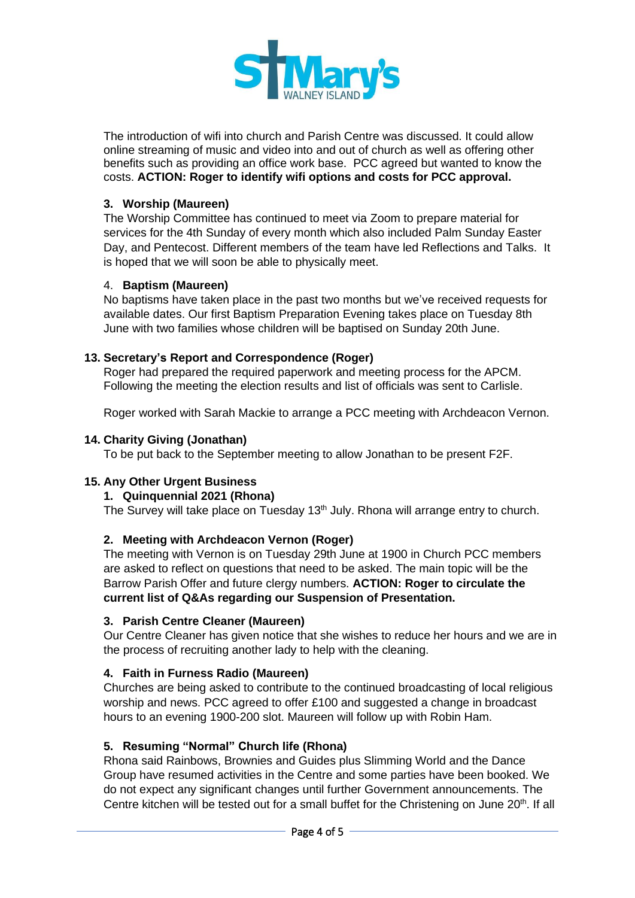

The introduction of wifi into church and Parish Centre was discussed. It could allow online streaming of music and video into and out of church as well as offering other benefits such as providing an office work base. PCC agreed but wanted to know the costs. **ACTION: Roger to identify wifi options and costs for PCC approval.**

# **3. Worship (Maureen)**

The Worship Committee has continued to meet via Zoom to prepare material for services for the 4th Sunday of every month which also included Palm Sunday Easter Day, and Pentecost. Different members of the team have led Reflections and Talks. It is hoped that we will soon be able to physically meet.

#### 4. **Baptism (Maureen)**

No baptisms have taken place in the past two months but we've received requests for available dates. Our first Baptism Preparation Evening takes place on Tuesday 8th June with two families whose children will be baptised on Sunday 20th June.

### **13. Secretary's Report and Correspondence (Roger)**

Roger had prepared the required paperwork and meeting process for the APCM. Following the meeting the election results and list of officials was sent to Carlisle.

Roger worked with Sarah Mackie to arrange a PCC meeting with Archdeacon Vernon.

### **14. Charity Giving (Jonathan)**

To be put back to the September meeting to allow Jonathan to be present F2F.

# **15. Any Other Urgent Business**

# **1. Quinquennial 2021 (Rhona)**

The Survey will take place on Tuesday 13<sup>th</sup> July. Rhona will arrange entry to church.

# **2. Meeting with Archdeacon Vernon (Roger)**

The meeting with Vernon is on Tuesday 29th June at 1900 in Church PCC members are asked to reflect on questions that need to be asked. The main topic will be the Barrow Parish Offer and future clergy numbers. **ACTION: Roger to circulate the current list of Q&As regarding our Suspension of Presentation.**

#### **3. Parish Centre Cleaner (Maureen)**

Our Centre Cleaner has given notice that she wishes to reduce her hours and we are in the process of recruiting another lady to help with the cleaning.

#### **4. Faith in Furness Radio (Maureen)**

Churches are being asked to contribute to the continued broadcasting of local religious worship and news. PCC agreed to offer £100 and suggested a change in broadcast hours to an evening 1900-200 slot. Maureen will follow up with Robin Ham.

# **5. Resuming "Normal" Church life (Rhona)**

Rhona said Rainbows, Brownies and Guides plus Slimming World and the Dance Group have resumed activities in the Centre and some parties have been booked. We do not expect any significant changes until further Government announcements. The Centre kitchen will be tested out for a small buffet for the Christening on June  $20<sup>th</sup>$ . If all